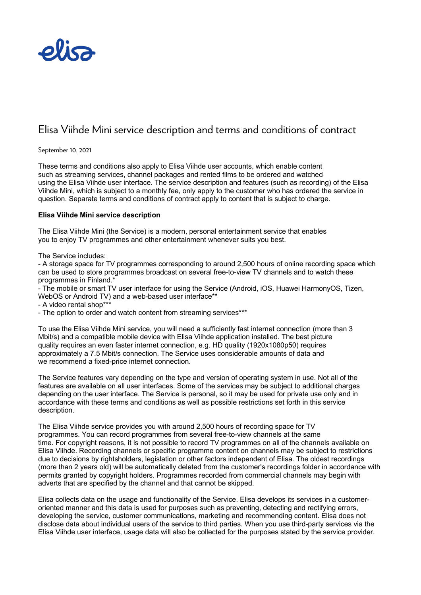

# Elisa Viihde Mini service description and terms and conditions of contract

### September 10, 2021

These terms and conditions also apply to Elisa Viihde user accounts, which enable content such as streaming services, channel packages and rented films to be ordered and watched using the Elisa Viihde user interface. The service description and features (such as recording) of the Elisa Viihde Mini, which is subject to a monthly fee, only apply to the customer who has ordered the service in question. Separate terms and conditions of contract apply to content that is subject to charge.

## **Elisa Viihde Mini service description**

The Elisa Viihde Mini (the Service) is a modern, personal entertainment service that enables you to enjoy TV programmes and other entertainment whenever suits you best.

The Service includes:

- A storage space for TV programmes corresponding to around 2,500 hours of online recording space which can be used to store programmes broadcast on several free-to-view TV channels and to watch these programmes in Finland.\*

- The mobile or smart TV user interface for using the Service (Android, iOS, Huawei HarmonyOS, Tizen, WebOS or Android TV) and a web-based user interface\*\*

- A video rental shop\*\*\*

- The option to order and watch content from streaming services\*\*\*

To use the Elisa Viihde Mini service, you will need a sufficiently fast internet connection (more than 3 Mbit/s) and a compatible mobile device with Elisa Viihde application installed. The best picture quality requires an even faster internet connection, e.g. HD quality (1920x1080p50) requires approximately a 7.5 Mbit/s connection. The Service uses considerable amounts of data and we recommend a fixed-price internet connection.

The Service features vary depending on the type and version of operating system in use. Not all of the features are available on all user interfaces. Some of the services may be subject to additional charges depending on the user interface. The Service is personal, so it may be used for private use only and in accordance with these terms and conditions as well as possible restrictions set forth in this service description.

The Elisa Viihde service provides you with around 2,500 hours of recording space for TV programmes. You can record programmes from several free-to-view channels at the same time. For copyright reasons, it is not possible to record TV programmes on all of the channels available on Elisa Viihde. Recording channels or specific programme content on channels may be subject to restrictions due to decisions by rightsholders, legislation or other factors independent of Elisa. The oldest recordings (more than 2 years old) will be automatically deleted from the customer's recordings folder in accordance with permits granted by copyright holders. Programmes recorded from commercial channels may begin with adverts that are specified by the channel and that cannot be skipped.

Elisa collects data on the usage and functionality of the Service. Elisa develops its services in a customeroriented manner and this data is used for purposes such as preventing, detecting and rectifying errors, developing the service, customer communications, marketing and recommending content. Elisa does not disclose data about individual users of the service to third parties. When you use third-party services via the Elisa Viihde user interface, usage data will also be collected for the purposes stated by the service provider.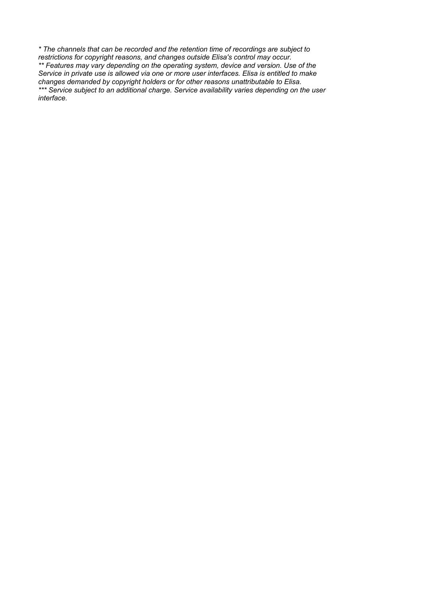*\* The channels that can be recorded and the retention time of recordings are subject to restrictions for copyright reasons, and changes outside Elisa's control may occur. \*\* Features may vary depending on the operating system, device and version. Use of the Service in private use is allowed via one or more user interfaces. Elisa is entitled to make changes demanded by copyright holders or for other reasons unattributable to Elisa*. *\*\*\* Service subject to an additional charge. Service availability varies depending on the user interface.*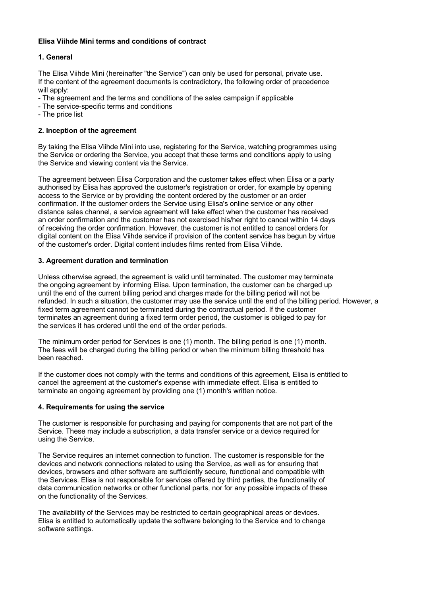# **Elisa Viihde Mini terms and conditions of contract**

# **1. General**

The Elisa Viihde Mini (hereinafter "the Service") can only be used for personal, private use. If the content of the agreement documents is contradictory, the following order of precedence will apply:

- The agreement and the terms and conditions of the sales campaign if applicable
- The service-specific terms and conditions
- The price list

# **2. Inception of the agreement**

By taking the Elisa Viihde Mini into use, registering for the Service, watching programmes using the Service or ordering the Service, you accept that these terms and conditions apply to using the Service and viewing content via the Service.

The agreement between Elisa Corporation and the customer takes effect when Elisa or a party authorised by Elisa has approved the customer's registration or order, for example by opening access to the Service or by providing the content ordered by the customer or an order confirmation. If the customer orders the Service using Elisa's online service or any other distance sales channel, a service agreement will take effect when the customer has received an order confirmation and the customer has not exercised his/her right to cancel within 14 days of receiving the order confirmation. However, the customer is not entitled to cancel orders for digital content on the Elisa Viihde service if provision of the content service has begun by virtue of the customer's order. Digital content includes films rented from Elisa Viihde.

# **3. Agreement duration and termination**

Unless otherwise agreed, the agreement is valid until terminated. The customer may terminate the ongoing agreement by informing Elisa. Upon termination, the customer can be charged up until the end of the current billing period and charges made for the billing period will not be refunded. In such a situation, the customer may use the service until the end of the billing period. However, a fixed term agreement cannot be terminated during the contractual period. If the customer terminates an agreement during a fixed term order period, the customer is obliged to pay for the services it has ordered until the end of the order periods.

The minimum order period for Services is one (1) month. The billing period is one (1) month. The fees will be charged during the billing period or when the minimum billing threshold has been reached.

If the customer does not comply with the terms and conditions of this agreement, Elisa is entitled to cancel the agreement at the customer's expense with immediate effect. Elisa is entitled to terminate an ongoing agreement by providing one (1) month's written notice.

# **4. Requirements for using the service**

The customer is responsible for purchasing and paying for components that are not part of the Service. These may include a subscription, a data transfer service or a device required for using the Service.

The Service requires an internet connection to function. The customer is responsible for the devices and network connections related to using the Service, as well as for ensuring that devices, browsers and other software are sufficiently secure, functional and compatible with the Services. Elisa is not responsible for services offered by third parties, the functionality of data communication networks or other functional parts, nor for any possible impacts of these on the functionality of the Services.

The availability of the Services may be restricted to certain geographical areas or devices. Elisa is entitled to automatically update the software belonging to the Service and to change software settings.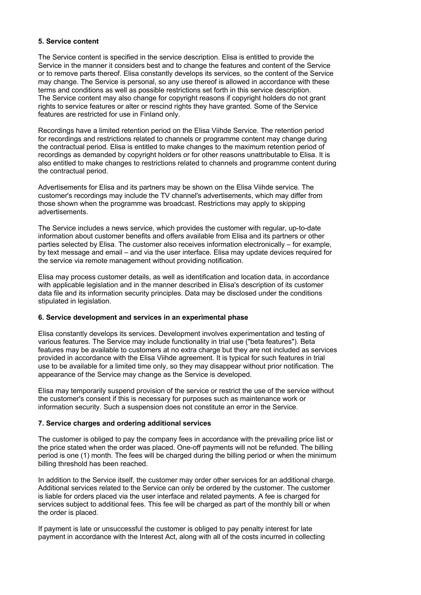## **5. Service content**

The Service content is specified in the service description. Elisa is entitled to provide the Service in the manner it considers best and to change the features and content of the Service or to remove parts thereof. Elisa constantly develops its services, so the content of the Service may change. The Service is personal, so any use thereof is allowed in accordance with these terms and conditions as well as possible restrictions set forth in this service description. The Service content may also change for copyright reasons if copyright holders do not grant rights to service features or alter or rescind rights they have granted. Some of the Service features are restricted for use in Finland only.

Recordings have a limited retention period on the Elisa Viihde Service. The retention period for recordings and restrictions related to channels or programme content may change during the contractual period. Elisa is entitled to make changes to the maximum retention period of recordings as demanded by copyright holders or for other reasons unattributable to Elisa. It is also entitled to make changes to restrictions related to channels and programme content during the contractual period.

Advertisements for Elisa and its partners may be shown on the Elisa Viihde service. The customer's recordings may include the TV channel's advertisements, which may differ from those shown when the programme was broadcast. Restrictions may apply to skipping advertisements.

The Service includes a news service, which provides the customer with regular, up-to-date information about customer benefits and offers available from Elisa and its partners or other parties selected by Elisa. The customer also receives information electronically – for example, by text message and email – and via the user interface. Elisa may update devices required for the service via remote management without providing notification.

Elisa may process customer details, as well as identification and location data, in accordance with applicable legislation and in the manner described in Elisa's description of its customer data file and its information security principles. Data may be disclosed under the conditions stipulated in legislation.

#### **6. Service development and services in an experimental phase**

Elisa constantly develops its services. Development involves experimentation and testing of various features. The Service may include functionality in trial use ("beta features"). Beta features may be available to customers at no extra charge but they are not included as services provided in accordance with the Elisa Viihde agreement. It is typical for such features in trial use to be available for a limited time only, so they may disappear without prior notification. The appearance of the Service may change as the Service is developed.

Elisa may temporarily suspend provision of the service or restrict the use of the service without the customer's consent if this is necessary for purposes such as maintenance work or information security. Such a suspension does not constitute an error in the Service.

#### **7. Service charges and ordering additional services**

The customer is obliged to pay the company fees in accordance with the prevailing price list or the price stated when the order was placed. One-off payments will not be refunded. The billing period is one (1) month. The fees will be charged during the billing period or when the minimum billing threshold has been reached.

In addition to the Service itself, the customer may order other services for an additional charge. Additional services related to the Service can only be ordered by the customer. The customer is liable for orders placed via the user interface and related payments. A fee is charged for services subject to additional fees. This fee will be charged as part of the monthly bill or when the order is placed.

If payment is late or unsuccessful the customer is obliged to pay penalty interest for late payment in accordance with the Interest Act, along with all of the costs incurred in collecting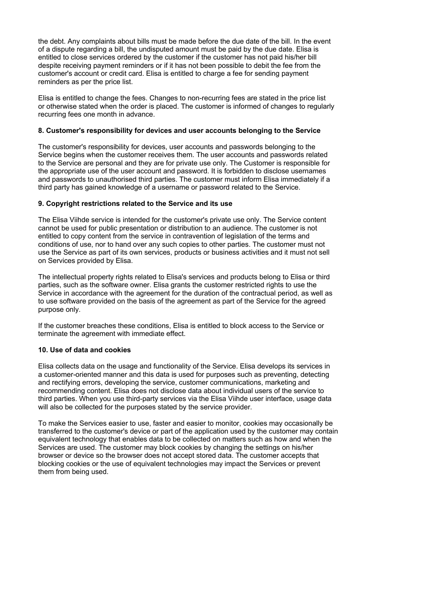the debt. Any complaints about bills must be made before the due date of the bill. In the event of a dispute regarding a bill, the undisputed amount must be paid by the due date. Elisa is entitled to close services ordered by the customer if the customer has not paid his/her bill despite receiving payment reminders or if it has not been possible to debit the fee from the customer's account or credit card. Elisa is entitled to charge a fee for sending payment reminders as per the price list.

Elisa is entitled to change the fees. Changes to non-recurring fees are stated in the price list or otherwise stated when the order is placed. The customer is informed of changes to regularly recurring fees one month in advance.

### **8. Customer's responsibility for devices and user accounts belonging to the Service**

The customer's responsibility for devices, user accounts and passwords belonging to the Service begins when the customer receives them. The user accounts and passwords related to the Service are personal and they are for private use only. The Customer is responsible for the appropriate use of the user account and password. It is forbidden to disclose usernames and passwords to unauthorised third parties. The customer must inform Elisa immediately if a third party has gained knowledge of a username or password related to the Service.

## **9. Copyright restrictions related to the Service and its use**

The Elisa Viihde service is intended for the customer's private use only. The Service content cannot be used for public presentation or distribution to an audience. The customer is not entitled to copy content from the service in contravention of legislation of the terms and conditions of use, nor to hand over any such copies to other parties. The customer must not use the Service as part of its own services, products or business activities and it must not sell on Services provided by Elisa.

The intellectual property rights related to Elisa's services and products belong to Elisa or third parties, such as the software owner. Elisa grants the customer restricted rights to use the Service in accordance with the agreement for the duration of the contractual period, as well as to use software provided on the basis of the agreement as part of the Service for the agreed purpose only.

If the customer breaches these conditions, Elisa is entitled to block access to the Service or terminate the agreement with immediate effect.

#### **10. Use of data and cookies**

Elisa collects data on the usage and functionality of the Service. Elisa develops its services in a customer-oriented manner and this data is used for purposes such as preventing, detecting and rectifying errors, developing the service, customer communications, marketing and recommending content. Elisa does not disclose data about individual users of the service to third parties. When you use third-party services via the Elisa Viihde user interface, usage data will also be collected for the purposes stated by the service provider.

To make the Services easier to use, faster and easier to monitor, cookies may occasionally be transferred to the customer's device or part of the application used by the customer may contain equivalent technology that enables data to be collected on matters such as how and when the Services are used. The customer may block cookies by changing the settings on his/her browser or device so the browser does not accept stored data. The customer accepts that blocking cookies or the use of equivalent technologies may impact the Services or prevent them from being used.